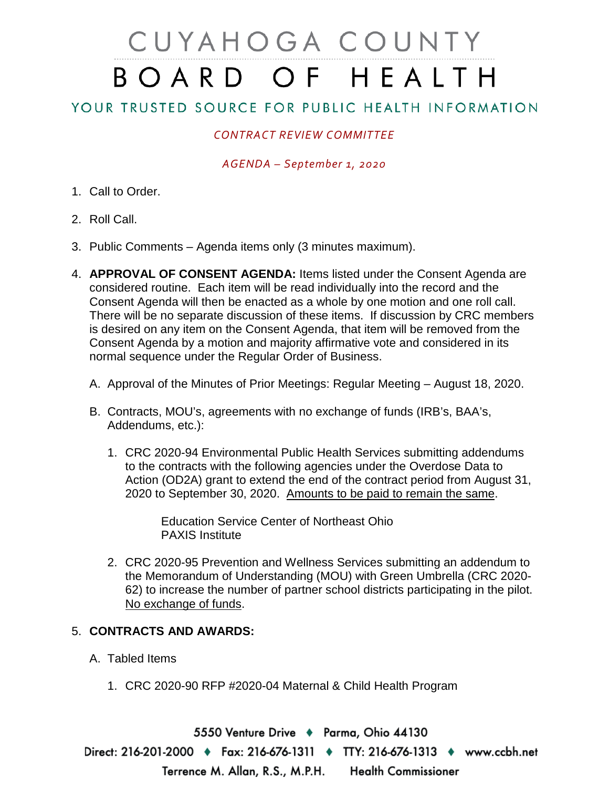# CUYAHOGA COUNTY BOARD OF HEALTH

## YOUR TRUSTED SOURCE FOR PUBLIC HEALTH INFORMATION

### *CONTRACT REVIEW COMMITTEE*

#### *AGENDA – September 1, 2020*

- 1. Call to Order.
- 2. Roll Call.
- 3. Public Comments Agenda items only (3 minutes maximum).
- 4. **APPROVAL OF CONSENT AGENDA:** Items listed under the Consent Agenda are considered routine. Each item will be read individually into the record and the Consent Agenda will then be enacted as a whole by one motion and one roll call. There will be no separate discussion of these items. If discussion by CRC members is desired on any item on the Consent Agenda, that item will be removed from the Consent Agenda by a motion and majority affirmative vote and considered in its normal sequence under the Regular Order of Business.
	- A. Approval of the Minutes of Prior Meetings: Regular Meeting August 18, 2020.
	- B. Contracts, MOU's, agreements with no exchange of funds (IRB's, BAA's, Addendums, etc.):
		- 1. CRC 2020-94 Environmental Public Health Services submitting addendums to the contracts with the following agencies under the Overdose Data to Action (OD2A) grant to extend the end of the contract period from August 31, 2020 to September 30, 2020. Amounts to be paid to remain the same.

Education Service Center of Northeast Ohio PAXIS Institute

2. CRC 2020-95 Prevention and Wellness Services submitting an addendum to the Memorandum of Understanding (MOU) with Green Umbrella (CRC 2020- 62) to increase the number of partner school districts participating in the pilot. No exchange of funds.

### 5. **CONTRACTS AND AWARDS:**

- A. Tabled Items
	- 1. CRC 2020-90 RFP #2020-04 Maternal & Child Health Program

5550 Venture Drive + Parma, Ohio 44130 Direct: 216-201-2000 ♦ Fax: 216-676-1311 ♦ TTY: 216-676-1313 ♦ www.ccbh.net Terrence M. Allan, R.S., M.P.H. **Health Commissioner**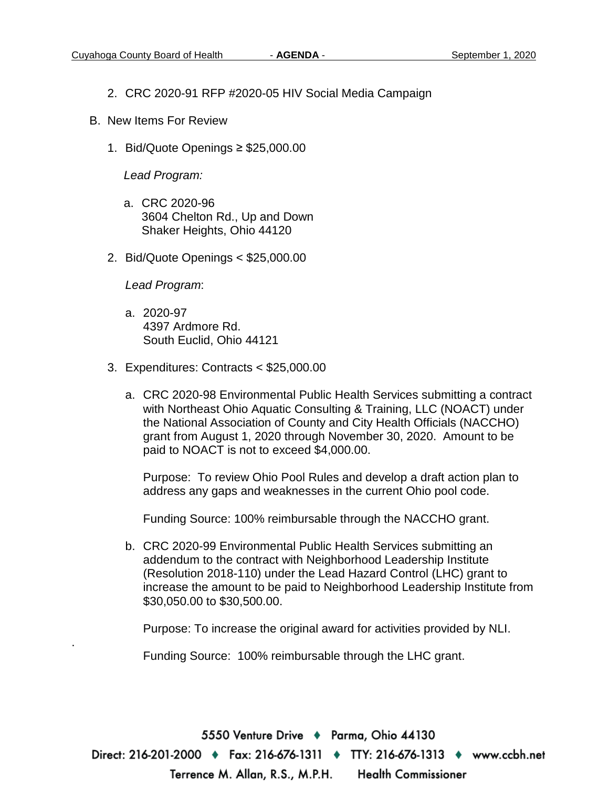- 2. CRC 2020-91 RFP #2020-05 HIV Social Media Campaign
- B. New Items For Review
	- 1. Bid/Quote Openings ≥ \$25,000.00

*Lead Program:*

- a. CRC 2020-96 3604 Chelton Rd., Up and Down Shaker Heights, Ohio 44120
- 2. Bid/Quote Openings < \$25,000.00

*Lead Program*:

.

- a. 2020-97 4397 Ardmore Rd. South Euclid, Ohio 44121
- 3. Expenditures: Contracts < \$25,000.00
	- a. CRC 2020-98 Environmental Public Health Services submitting a contract with Northeast Ohio Aquatic Consulting & Training, LLC (NOACT) under the National Association of County and City Health Officials (NACCHO) grant from August 1, 2020 through November 30, 2020. Amount to be paid to NOACT is not to exceed \$4,000.00.

Purpose: To review Ohio Pool Rules and develop a draft action plan to address any gaps and weaknesses in the current Ohio pool code.

Funding Source: 100% reimbursable through the NACCHO grant.

b. CRC 2020-99 Environmental Public Health Services submitting an addendum to the contract with Neighborhood Leadership Institute (Resolution 2018-110) under the Lead Hazard Control (LHC) grant to increase the amount to be paid to Neighborhood Leadership Institute from \$30,050.00 to \$30,500.00.

Purpose: To increase the original award for activities provided by NLI.

Funding Source: 100% reimbursable through the LHC grant.

5550 Venture Drive → Parma, Ohio 44130 Direct: 216-201-2000 ♦ Fax: 216-676-1311 ♦ TTY: 216-676-1313 ♦ www.ccbh.net **Health Commissioner** Terrence M. Allan, R.S., M.P.H.